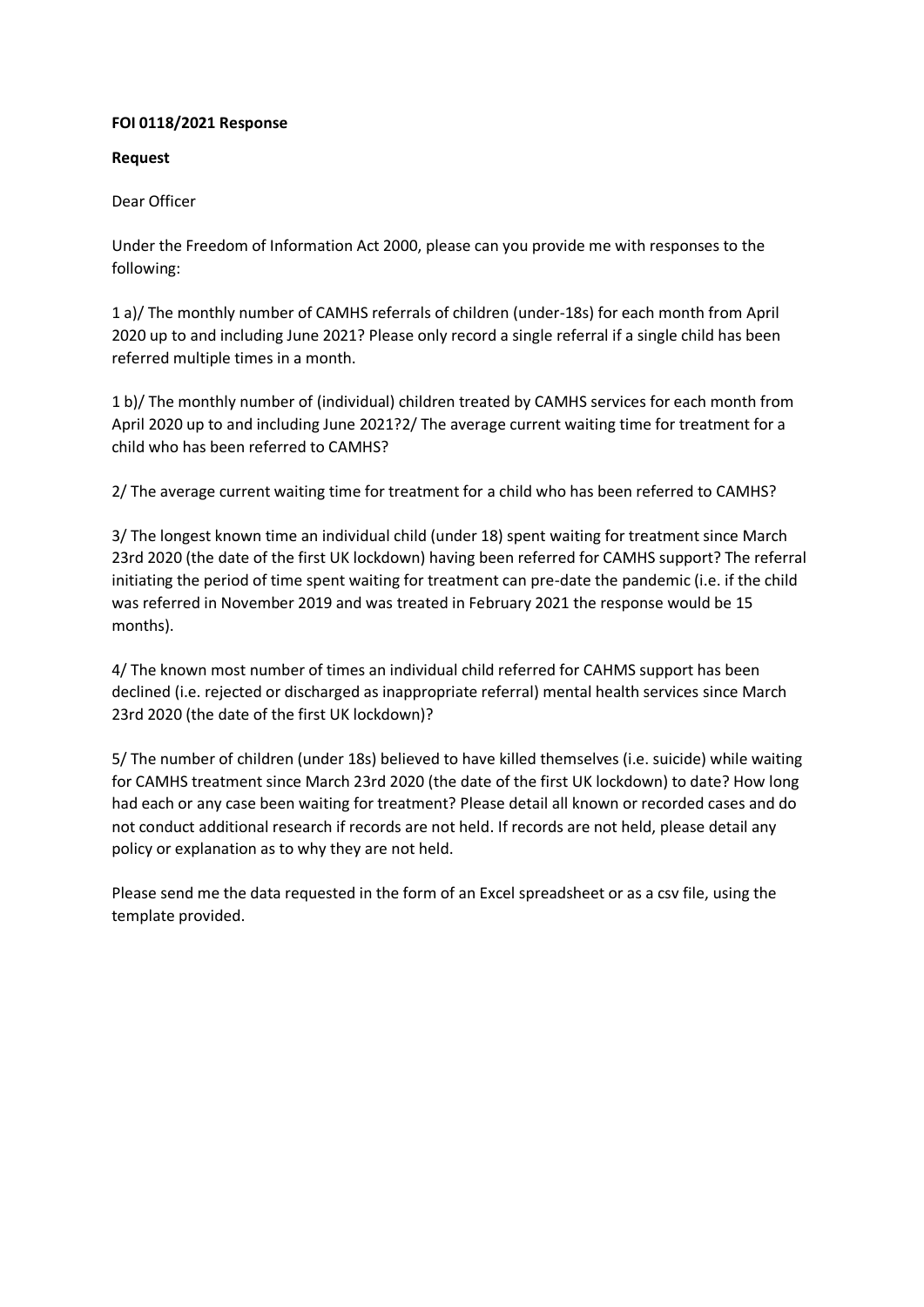## **FOI 0118/2021 Response**

## **Request**

## Dear Officer

Under the Freedom of Information Act 2000, please can you provide me with responses to the following:

1 a)/ The monthly number of CAMHS referrals of children (under-18s) for each month from April 2020 up to and including June 2021? Please only record a single referral if a single child has been referred multiple times in a month.

1 b)/ The monthly number of (individual) children treated by CAMHS services for each month from April 2020 up to and including June 2021?2/ The average current waiting time for treatment for a child who has been referred to CAMHS?

2/ The average current waiting time for treatment for a child who has been referred to CAMHS?

3/ The longest known time an individual child (under 18) spent waiting for treatment since March 23rd 2020 (the date of the first UK lockdown) having been referred for CAMHS support? The referral initiating the period of time spent waiting for treatment can pre-date the pandemic (i.e. if the child was referred in November 2019 and was treated in February 2021 the response would be 15 months).

4/ The known most number of times an individual child referred for CAHMS support has been declined (i.e. rejected or discharged as inappropriate referral) mental health services since March 23rd 2020 (the date of the first UK lockdown)?

5/ The number of children (under 18s) believed to have killed themselves (i.e. suicide) while waiting for CAMHS treatment since March 23rd 2020 (the date of the first UK lockdown) to date? How long had each or any case been waiting for treatment? Please detail all known or recorded cases and do not conduct additional research if records are not held. If records are not held, please detail any policy or explanation as to why they are not held.

Please send me the data requested in the form of an Excel spreadsheet or as a csv file, using the template provided.